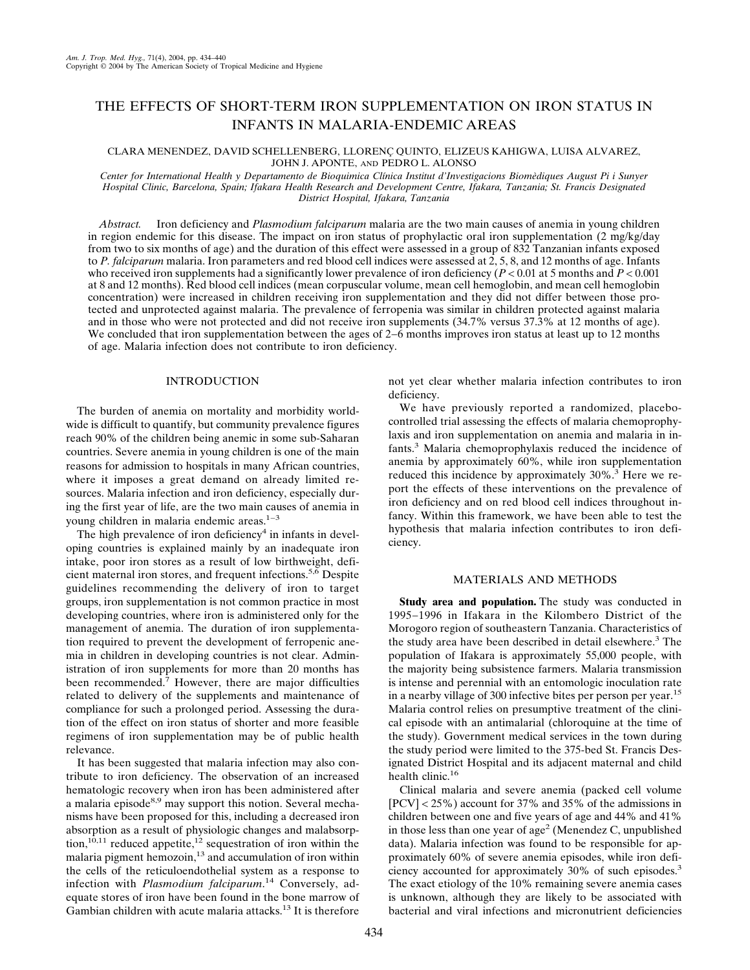## THE EFFECTS OF SHORT-TERM IRON SUPPLEMENTATION ON IRON STATUS IN INFANTS IN MALARIA-ENDEMIC AREAS

### CLARA MENENDEZ, DAVID SCHELLENBERG, LLORENC¸ QUINTO, ELIZEUS KAHIGWA, LUISA ALVAREZ, JOHN J. APONTE, AND PEDRO L. ALONSO

Center for International Health y Departamento de Bioquimica Clínica Institut d'Investigacions Biomèdiques August Pi i Sunyer *Hospital Clinic, Barcelona, Spain; Ifakara Health Research and Development Centre, Ifakara, Tanzania; St. Francis Designated District Hospital, Ifakara, Tanzania*

*Abstract.* Iron deficiency and *Plasmodium falciparum* malaria are the two main causes of anemia in young children in region endemic for this disease. The impact on iron status of prophylactic oral iron supplementation (2 mg/kg/day from two to six months of age) and the duration of this effect were assessed in a group of 832 Tanzanian infants exposed to *P. falciparum* malaria. Iron parameters and red blood cell indices were assessed at 2, 5, 8, and 12 months of age. Infants who received iron supplements had a significantly lower prevalence of iron deficiency (*P* < 0.01 at 5 months and *P* < 0.001 at 8 and 12 months). Red blood cell indices (mean corpuscular volume, mean cell hemoglobin, and mean cell hemoglobin concentration) were increased in children receiving iron supplementation and they did not differ between those protected and unprotected against malaria. The prevalence of ferropenia was similar in children protected against malaria and in those who were not protected and did not receive iron supplements (34.7% versus 37.3% at 12 months of age). We concluded that iron supplementation between the ages of 2−6 months improves iron status at least up to 12 months of age. Malaria infection does not contribute to iron deficiency.

## INTRODUCTION

The burden of anemia on mortality and morbidity worldwide is difficult to quantify, but community prevalence figures reach 90% of the children being anemic in some sub-Saharan countries. Severe anemia in young children is one of the main reasons for admission to hospitals in many African countries, where it imposes a great demand on already limited resources. Malaria infection and iron deficiency, especially during the first year of life, are the two main causes of anemia in young children in malaria endemic areas.<sup>1−3</sup>

The high prevalence of iron deficiency<sup>4</sup> in infants in developing countries is explained mainly by an inadequate iron intake, poor iron stores as a result of low birthweight, deficient maternal iron stores, and frequent infections.<sup>5, $\overline{6}$ </sup> Despite guidelines recommending the delivery of iron to target groups, iron supplementation is not common practice in most developing countries, where iron is administered only for the management of anemia. The duration of iron supplementation required to prevent the development of ferropenic anemia in children in developing countries is not clear. Administration of iron supplements for more than 20 months has been recommended.<sup>7</sup> However, there are major difficulties related to delivery of the supplements and maintenance of compliance for such a prolonged period. Assessing the duration of the effect on iron status of shorter and more feasible regimens of iron supplementation may be of public health relevance.

It has been suggested that malaria infection may also contribute to iron deficiency. The observation of an increased hematologic recovery when iron has been administered after a malaria episode<sup>8,9</sup> may support this notion. Several mechanisms have been proposed for this, including a decreased iron absorption as a result of physiologic changes and malabsorption,<sup>10,11</sup> reduced appetite,<sup>12</sup> sequestration of iron within the malaria pigment hemozoin, $^{13}$  and accumulation of iron within the cells of the reticuloendothelial system as a response to infection with *Plasmodium falciparum*. <sup>14</sup> Conversely, adequate stores of iron have been found in the bone marrow of Gambian children with acute malaria attacks.13 It is therefore not yet clear whether malaria infection contributes to iron deficiency.

We have previously reported a randomized, placebocontrolled trial assessing the effects of malaria chemoprophylaxis and iron supplementation on anemia and malaria in infants.3 Malaria chemoprophylaxis reduced the incidence of anemia by approximately 60%, while iron supplementation reduced this incidence by approximately 30%.<sup>3</sup> Here we report the effects of these interventions on the prevalence of iron deficiency and on red blood cell indices throughout infancy. Within this framework, we have been able to test the hypothesis that malaria infection contributes to iron deficiency.

## MATERIALS AND METHODS

**Study area and population.** The study was conducted in 1995−1996 in Ifakara in the Kilombero District of the Morogoro region of southeastern Tanzania. Characteristics of the study area have been described in detail elsewhere.<sup>3</sup> The population of Ifakara is approximately 55,000 people, with the majority being subsistence farmers. Malaria transmission is intense and perennial with an entomologic inoculation rate in a nearby village of 300 infective bites per person per year.<sup>15</sup> Malaria control relies on presumptive treatment of the clinical episode with an antimalarial (chloroquine at the time of the study). Government medical services in the town during the study period were limited to the 375-bed St. Francis Designated District Hospital and its adjacent maternal and child health clinic.<sup>16</sup>

Clinical malaria and severe anemia (packed cell volume [PCV] < 25%) account for 37% and 35% of the admissions in children between one and five years of age and 44% and 41% in those less than one year of age<sup>2</sup> (Menendez C, unpublished data). Malaria infection was found to be responsible for approximately 60% of severe anemia episodes, while iron deficiency accounted for approximately 30% of such episodes.3 The exact etiology of the 10% remaining severe anemia cases is unknown, although they are likely to be associated with bacterial and viral infections and micronutrient deficiencies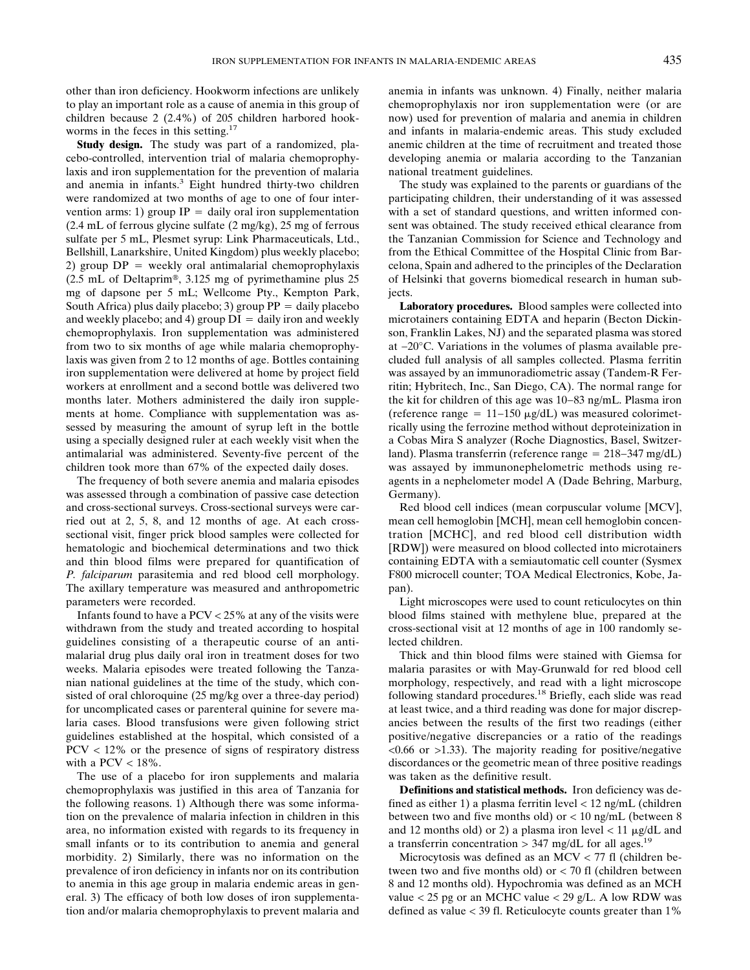other than iron deficiency. Hookworm infections are unlikely to play an important role as a cause of anemia in this group of children because 2 (2.4%) of 205 children harbored hookworms in the feces in this setting.<sup>17</sup>

**Study design.** The study was part of a randomized, placebo-controlled, intervention trial of malaria chemoprophylaxis and iron supplementation for the prevention of malaria and anemia in infants.<sup>3</sup> Eight hundred thirty-two children were randomized at two months of age to one of four intervention arms: 1) group  $IP =$  daily oral iron supplementation (2.4 mL of ferrous glycine sulfate (2 mg/kg), 25 mg of ferrous sulfate per 5 mL, Plesmet syrup: Link Pharmaceuticals, Ltd., Bellshill, Lanarkshire, United Kingdom) plus weekly placebo; 2) group  $DP =$  weekly oral antimalarial chemoprophylaxis  $(2.5 \text{ mL of Deltaprim}^{\circledcirc}, 3.125 \text{ mg of pyrimethamine plus } 25$ mg of dapsone per 5 mL; Wellcome Pty., Kempton Park, South Africa) plus daily placebo; 3) group  $PP =$  daily placebo and weekly placebo; and 4) group  $DI =$  daily iron and weekly chemoprophylaxis. Iron supplementation was administered from two to six months of age while malaria chemoprophylaxis was given from 2 to 12 months of age. Bottles containing iron supplementation were delivered at home by project field workers at enrollment and a second bottle was delivered two months later. Mothers administered the daily iron supplements at home. Compliance with supplementation was assessed by measuring the amount of syrup left in the bottle using a specially designed ruler at each weekly visit when the antimalarial was administered. Seventy-five percent of the children took more than 67% of the expected daily doses.

The frequency of both severe anemia and malaria episodes was assessed through a combination of passive case detection and cross-sectional surveys. Cross-sectional surveys were carried out at 2, 5, 8, and 12 months of age. At each crosssectional visit, finger prick blood samples were collected for hematologic and biochemical determinations and two thick and thin blood films were prepared for quantification of *P. falciparum* parasitemia and red blood cell morphology. The axillary temperature was measured and anthropometric parameters were recorded.

Infants found to have a PCV < 25% at any of the visits were withdrawn from the study and treated according to hospital guidelines consisting of a therapeutic course of an antimalarial drug plus daily oral iron in treatment doses for two weeks. Malaria episodes were treated following the Tanzanian national guidelines at the time of the study, which consisted of oral chloroquine (25 mg/kg over a three-day period) for uncomplicated cases or parenteral quinine for severe malaria cases. Blood transfusions were given following strict guidelines established at the hospital, which consisted of a PCV < 12% or the presence of signs of respiratory distress with a PCV  $<$  18%.

The use of a placebo for iron supplements and malaria chemoprophylaxis was justified in this area of Tanzania for the following reasons. 1) Although there was some information on the prevalence of malaria infection in children in this area, no information existed with regards to its frequency in small infants or to its contribution to anemia and general morbidity. 2) Similarly, there was no information on the prevalence of iron deficiency in infants nor on its contribution to anemia in this age group in malaria endemic areas in general. 3) The efficacy of both low doses of iron supplementation and/or malaria chemoprophylaxis to prevent malaria and anemia in infants was unknown. 4) Finally, neither malaria chemoprophylaxis nor iron supplementation were (or are now) used for prevention of malaria and anemia in children and infants in malaria-endemic areas. This study excluded anemic children at the time of recruitment and treated those developing anemia or malaria according to the Tanzanian national treatment guidelines.

The study was explained to the parents or guardians of the participating children, their understanding of it was assessed with a set of standard questions, and written informed consent was obtained. The study received ethical clearance from the Tanzanian Commission for Science and Technology and from the Ethical Committee of the Hospital Clinic from Barcelona, Spain and adhered to the principles of the Declaration of Helsinki that governs biomedical research in human subjects.

**Laboratory procedures.** Blood samples were collected into microtainers containing EDTA and heparin (Becton Dickinson, Franklin Lakes, NJ) and the separated plasma was stored at −20°C. Variations in the volumes of plasma available precluded full analysis of all samples collected. Plasma ferritin was assayed by an immunoradiometric assay (Tandem-R Ferritin; Hybritech, Inc., San Diego, CA). The normal range for the kit for children of this age was 10−83 ng/mL. Plasma iron (reference range =  $11-150 \mu g/dL$ ) was measured colorimetrically using the ferrozine method without deproteinization in a Cobas Mira S analyzer (Roche Diagnostics, Basel, Switzerland). Plasma transferrin (reference range 218−347 mg/dL) was assayed by immunonephelometric methods using reagents in a nephelometer model A (Dade Behring, Marburg, Germany).

Red blood cell indices (mean corpuscular volume [MCV], mean cell hemoglobin [MCH], mean cell hemoglobin concentration [MCHC], and red blood cell distribution width [RDW]) were measured on blood collected into microtainers containing EDTA with a semiautomatic cell counter (Sysmex F800 microcell counter; TOA Medical Electronics, Kobe, Japan).

Light microscopes were used to count reticulocytes on thin blood films stained with methylene blue, prepared at the cross-sectional visit at 12 months of age in 100 randomly selected children.

Thick and thin blood films were stained with Giemsa for malaria parasites or with May-Grunwald for red blood cell morphology, respectively, and read with a light microscope following standard procedures.18 Briefly, each slide was read at least twice, and a third reading was done for major discrepancies between the results of the first two readings (either positive/negative discrepancies or a ratio of the readings  $\leq 0.66$  or  $\geq 1.33$ ). The majority reading for positive/negative discordances or the geometric mean of three positive readings was taken as the definitive result.

**Definitions and statistical methods.** Iron deficiency was defined as either 1) a plasma ferritin level < 12 ng/mL (children between two and five months old) or < 10 ng/mL (between 8 and 12 months old) or 2) a plasma iron level  $< 11 \mu g/dL$  and a transferrin concentration > 347 mg/dL for all ages.<sup>19</sup>

Microcytosis was defined as an MCV  $<$  77 fl (children between two and five months old) or < 70 fl (children between 8 and 12 months old). Hypochromia was defined as an MCH value  $<$  25 pg or an MCHC value  $<$  29 g/L. A low RDW was defined as value < 39 fl. Reticulocyte counts greater than 1%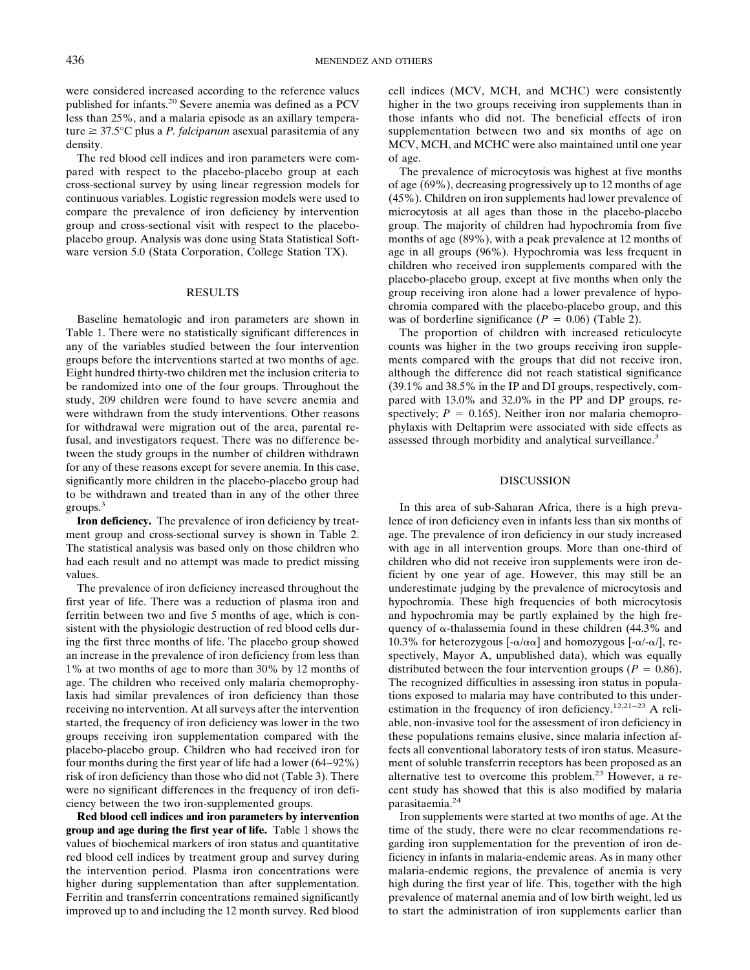were considered increased according to the reference values published for infants.20 Severe anemia was defined as a PCV less than 25%, and a malaria episode as an axillary temperature ≥ 37.5°C plus a *P. falciparum* asexual parasitemia of any density.

The red blood cell indices and iron parameters were compared with respect to the placebo-placebo group at each cross-sectional survey by using linear regression models for continuous variables. Logistic regression models were used to compare the prevalence of iron deficiency by intervention group and cross-sectional visit with respect to the placeboplacebo group. Analysis was done using Stata Statistical Software version 5.0 (Stata Corporation, College Station TX).

#### RESULTS

Baseline hematologic and iron parameters are shown in Table 1. There were no statistically significant differences in any of the variables studied between the four intervention groups before the interventions started at two months of age. Eight hundred thirty-two children met the inclusion criteria to be randomized into one of the four groups. Throughout the study, 209 children were found to have severe anemia and were withdrawn from the study interventions. Other reasons for withdrawal were migration out of the area, parental refusal, and investigators request. There was no difference between the study groups in the number of children withdrawn for any of these reasons except for severe anemia. In this case, significantly more children in the placebo-placebo group had to be withdrawn and treated than in any of the other three groups.3

**Iron deficiency.** The prevalence of iron deficiency by treatment group and cross-sectional survey is shown in Table 2. The statistical analysis was based only on those children who had each result and no attempt was made to predict missing values.

The prevalence of iron deficiency increased throughout the first year of life. There was a reduction of plasma iron and ferritin between two and five 5 months of age, which is consistent with the physiologic destruction of red blood cells during the first three months of life. The placebo group showed an increase in the prevalence of iron deficiency from less than 1% at two months of age to more than 30% by 12 months of age. The children who received only malaria chemoprophylaxis had similar prevalences of iron deficiency than those receiving no intervention. At all surveys after the intervention started, the frequency of iron deficiency was lower in the two groups receiving iron supplementation compared with the placebo-placebo group. Children who had received iron for four months during the first year of life had a lower (64−92%) risk of iron deficiency than those who did not (Table 3). There were no significant differences in the frequency of iron deficiency between the two iron-supplemented groups.

**Red blood cell indices and iron parameters by intervention group and age during the first year of life.** Table 1 shows the values of biochemical markers of iron status and quantitative red blood cell indices by treatment group and survey during the intervention period. Plasma iron concentrations were higher during supplementation than after supplementation. Ferritin and transferrin concentrations remained significantly improved up to and including the 12 month survey. Red blood

cell indices (MCV, MCH, and MCHC) were consistently higher in the two groups receiving iron supplements than in those infants who did not. The beneficial effects of iron supplementation between two and six months of age on MCV, MCH, and MCHC were also maintained until one year of age.

The prevalence of microcytosis was highest at five months of age (69%), decreasing progressively up to 12 months of age (45%). Children on iron supplements had lower prevalence of microcytosis at all ages than those in the placebo-placebo group. The majority of children had hypochromia from five months of age (89%), with a peak prevalence at 12 months of age in all groups (96%). Hypochromia was less frequent in children who received iron supplements compared with the placebo-placebo group, except at five months when only the group receiving iron alone had a lower prevalence of hypochromia compared with the placebo-placebo group, and this was of borderline significance  $(P = 0.06)$  (Table 2).

The proportion of children with increased reticulocyte counts was higher in the two groups receiving iron supplements compared with the groups that did not receive iron, although the difference did not reach statistical significance (39.1% and 38.5% in the IP and DI groups, respectively, compared with 13.0% and 32.0% in the PP and DP groups, respectively;  $P = 0.165$ ). Neither iron nor malaria chemoprophylaxis with Deltaprim were associated with side effects as assessed through morbidity and analytical surveillance.<sup>3</sup>

#### DISCUSSION

In this area of sub-Saharan Africa, there is a high prevalence of iron deficiency even in infants less than six months of age. The prevalence of iron deficiency in our study increased with age in all intervention groups. More than one-third of children who did not receive iron supplements were iron deficient by one year of age. However, this may still be an underestimate judging by the prevalence of microcytosis and hypochromia. These high frequencies of both microcytosis and hypochromia may be partly explained by the high frequency of  $\alpha$ -thalassemia found in these children (44.3% and 10.3% for heterozygous  $[-\alpha/\alpha\alpha]$  and homozygous  $[-\alpha/\alpha]$ , respectively, Mayor A, unpublished data), which was equally distributed between the four intervention groups ( $P = 0.86$ ). The recognized difficulties in assessing iron status in populations exposed to malaria may have contributed to this underestimation in the frequency of iron deficiency.12,21−23 A reliable, non-invasive tool for the assessment of iron deficiency in these populations remains elusive, since malaria infection affects all conventional laboratory tests of iron status. Measurement of soluble transferrin receptors has been proposed as an alternative test to overcome this problem.<sup>23</sup> However, a recent study has showed that this is also modified by malaria parasitaemia.24

Iron supplements were started at two months of age. At the time of the study, there were no clear recommendations regarding iron supplementation for the prevention of iron deficiency in infants in malaria-endemic areas. As in many other malaria-endemic regions, the prevalence of anemia is very high during the first year of life. This, together with the high prevalence of maternal anemia and of low birth weight, led us to start the administration of iron supplements earlier than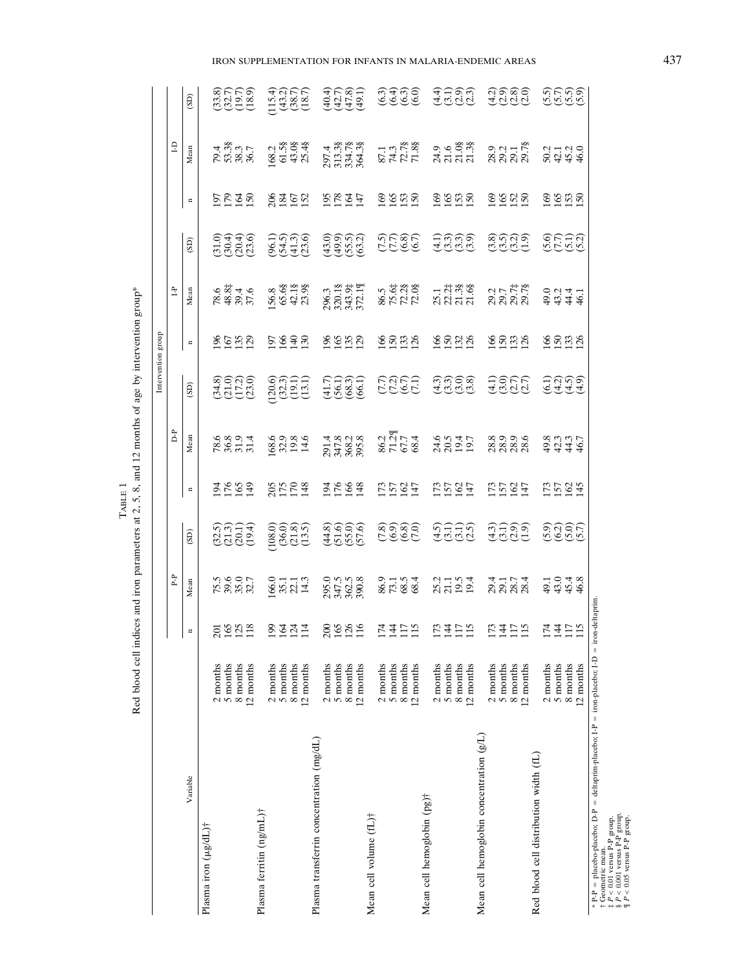Red blood cell indices and iron parameters at 2, 5, 8, and 12 months of age by intervention group\* Red blood cell indices and iron parameters at 2, 5, 8, and 12 months of age by intervention group\* TABLE 1

 $(40.7)$ <br> $(40.7)$ <br> $(40.7)$  $\begin{array}{c} (33.8) \\ (32.7) \\ (19.7) \\ (18.9) \\ \end{array}$  $\begin{array}{c} (115.4) \\ (43.2) \\ (38.7) \\ (18.7) \end{array}$ **6399**<br>6999 47983 19680<br>1969 6666<br>1969 (8:20) 2:02.5 (32.5) 195.5 (32.5) 195.6 (32.4 (32.4 (32.5) 197.6 (32.6) 197.6 (32.6) 197.6 (32.6) 19 5 months 165 39.6 (21.3) 176 36.8 (21.0) 167 48.8‡ (30.4) 179 53.3§ (32.7) 8 months 125 35.0 (20.1) 165 31.9 (17.2) 135 39.4 (20.4) 164 38.3 (19.7)  $12.8$  months 118 120.7 (19.7.0) 129.7 (23.0) 129.7 (23.0) 129.7 (23.7 (23.0) 129.7 (23.6) 129.7 (23.6) 129.7 (23.6) 129.7 (23.6) 129.7 (23.6) 12.7 (23.6) 12.7 (23.6) 12.7 (23.6) 12.7 (23.6) 12.7 (23.6) 12.7 (23.6) 12.1 ( 2 months 199 166.0 (196.1) 205 168.6 (120.6) 205 168.6 (120.6) 206 108.8 (120.6) 206 168.8 (120.6) 206 168.4) 5 months 164 35.1 (37.5°) 36.09 36.09 36.09 (37.3) 175 32.31 (32.5° (32.4) 175 52.4° (43.4) 195 61.5 (128) 122.1 (21.9) 124 22.1§ 124 22.1§ (121.9°C.1§ (38.10) 12.1§ (38.10) 12.1§ (38.10) 170.1 12 months 12 months 12 months 114.3 (13.5) 14.3 (13.1) 14.3 (13.5) 14.7 (13.1) 14.7 (18.7) 14.7 (18.7) 14.7 (1 (#10#) +1.62 S61 (0'sty) 5:962 961 (1.7#) +1.62 #61 (8'#+) 0's62 002 squedia 201.4 (41.04) 195 297.4 (41.9) 19 5 months 165 months 165 320.1§ (195.6) 176 32.747.9 176 176.1§ (195.0) 17.747.9 176.1§ (42.7) 178 338.13.3§ (1 8 months 126 169 169 165.0) 1562.5 (55.5) 1562.5 (58.5) 166 368.2 (55.5) 165.05.0 165.5) 164 321.8 12 months 116 390.8 (57.6) 148 395.8 (66.1) 129 372.1¶ (63.2) 147 364.3§ (49.1) 2 months 174 86.9 (7.8) 173 86.3 (7.8) 173 86.9 (7.8) 173 86.9 (7.8) 174 174 175 5 months 144 73.1 (6.9) 157 71.2¶ (7.2) 150 75.6‡ (7.7) 165 74.3 (6.4) 8 months 117 68.5 (6.8) 162 (6.7) 153 162 (6.8) 163 163 153 153 153 163. 12 months 115 months 1150 126.5° (127 months 127 (127) 127 (127) 127 (127) 127 (127) 128 127 150 151. 2 months 173 25.2 (4.5) 173 24.6 (4.3) 166 25.1 (4.1) 169 24.9 (4.4) 5 months 144 144 144 144 150 20.5 (3.3) 157 22.2‡ (3.3) 157 (3.3) 157 (3.3) 158 165 165 161 8 months 117 19.5 (3.1) 19.5 (3.1) 162 162 162 (3.0) 162 21.3§ (3.0) 162 21.3§ (3.9) 153 21.3§ (4.09) 162 21.0 12 months 12 months 12 months 12 months 12 months 121.47 (2.5) 19.4 (3.7) 19.4 (3.9) 19.4 (3.9) 19.4 2 months 173 29.4 (4.3) 173 29.4 (4.3) 173 29.4 (4.2) 173 29.3 (4.2) 173 29.3 (4.2) 173 29.3 (4.2) 173 29.3 (4.2) 5 months 144 36.9 (3.1) 157 157 (17.1) 157 167 169.9 (3.9) 157 (17.1) 157 179 179 179 179 179 179 17 8 months 117 28.7 (3.7) 133 28.9 (2.7) 133 29.7‡ (3.2) 152 29.7 $\frac{1}{32}$  152 29.1 (3.8) 12 months 12 months 115 28.6 (2.7) 127 (2.7) 127 (2.7) 127 (2.7) 127 (2.7) 127 (2.7) 127 (2.7) 127 (2.0) 127 (2.0) 126 (2.7) 127 (2.7) 127 (2.0) 127 (2.0) 127 (2.0) 127 (2.0) 127 (2.0) 127 (2.0) 127 (2.0) 127 (2.0) 127 (2 (5.) 2 months 174 49.1 (5.9) 173 49.9 (6.9) 173 50.91 (5.9) 173 50.92 (5.6) 169 50.2 (5.6) 169 50.2 (5.6) 169 50.2 (5.6) 169 50.4 (5.6) 174 50.4 (5.6) 174 50.4 (5.6) 174 50.4 (5.6) 174 50.4 (5.6) 174 50.4 (5.6) 174 50.4 (5 5 months 144 145.0 (7.7) 150 150 151 (4.2) 157 (4.2) 165 165 167 (7.7) 165 164 (7.7) 165 165 162.1 8 months 117 (5.1) 153 44.4 (4.5) 162 (5.0) 162 (5.5) 153 44.4 (5.5) 12 months 115 46.8 (5.7) 145 46.7 (4.9) 126 46.1 (5.2) 150 46.0 (5.9)  $(SD)$ n Mean (SD) n Mean (SD) n Mean (SD) n Mean (SD)  $\begin{array}{c} 87.1 \\ 74.3 \\ 72.78 \\ 1.88 \end{array}$ 28.9<br>29.2<br>29.7 %  $\Xi$ 79.4<br>53.38  $\frac{168.2}{61.58}$ 43.0§ 25.48 297.4<br>313.38<br>334.78<br>364.38 9.6<br>ಸೆನೆ ನೆ<br>ನೆನೆ ನ P-P D-P I-P I-D Mean 38.3<br>36.7  $28452$ 2227 <u>e e a a</u>  $2222$  $8825$  $8898$ 2525  $\overline{a}$  $(43.0)$ <br> $(49.0)$ <br> $(5.0)$ <br> $(63.1)$ 35667<br>1959<br>1979 01446<br>00146 96.13<br>(54.3)<br>(51.3.6) <u> ၁၈၈၅</u><br>၁၀၀၀ အိုက်ခါ<br>မိုင်းမိုင်း 9599<br>1999  $\boxed{3}$ 296.3<br>320.18<br>343.9‡<br>372.1¶ 86.5<br>75.6‡<br>72.28<br>72.08  $78.6$ <br>48.8‡ 156.8<br>65.6§  $42.18$ <br> $23.98$  $23.1$ <br> $23.38$ <br> $21.38$ <br> $21.38$ 29.7<br>29.7#<br>29.7%  $\tilde{\Xi}$  $39.4$ <br> $37.6$ Mean Intervention group Intervention group 8658 **PRESS** \$\$\$\$ 8838 3888 \$838 8838  $\approx$ 3,900<br>3,900<br>3,900  $\begin{array}{c} (120.6) \\ (32.3) \\ (19.1) \\ (13.1) \\ \end{array}$  $\begin{array}{c} (41.7)\\ (56.1)\\ (66.1)\\ (66.1)\\ \end{array}$ **COOC**<br>COOC ခြင်း<br>မိုင်းမို့ ASCE<br>HILE cigio<br>Gigio  $(SD)$  $\Gamma$ 86.2<br>71.2¶<br>67.7<br>68.4 Mean 168.9<br>82.93.45<br>14.14.11 6.8994<br>8.855 291.4<br>347.8<br>368.2<br>395.8 24.6<br>20.5 83346<br>83446 19.7 8<br>88<br>8888 3593 8523 3593 15247 15247 5595 5525  $\Box$  $(4.8)$ <br> $(5.6)$ <br> $(5.6)$  $(7.8)$ <br>(6.9)  $(323)$ <br> $(333)$ <br> $(333)$  $(108.0)$ <br> $(36.0)$  $(21.8)$ <br> $(13.5)$  $(6.8)$  $(4.5)$ ์<br>อีธีดี<br>เลียดี 339<br>GQJ **9995**<br>9996  $(4.3)$  $(SD)$  $\mathbf{P}$ 22.1<br>14.3 8631<br>8634  $23.1$ <br> $19.3$ <br> $19.4$  $3448$ <br> $3448$  $166.0$ <br>35.1 295.0<br>347.5<br>362.5<br>390.8 Mean 75.9<br>88.97<br>82.7 33233<br>2333 \* P-P placebo-placebo; D-P deltaprim-placebo; I-P iron-placebo; I-D iron-deltaprim.  $=$  iron-deltaprim  $8922$ 13417<br>1417  $73472$  $\frac{74}{112}$  $2341$  $89819$ **NAHIN**  $\Xi$  $=$  iron-placebo; I-D  $\begin{array}{c} \text{2 months} \\ \text{5 months} \\ \text{8 months} \\ \text{12 months} \end{array}$  $\begin{array}{c} \text{2 months} \\ \text{5 months} \\ \text{8 months} \\ \text{12 months} \end{array}$  $\begin{array}{c} \text{2 months} \\ \text{5 months} \\ \text{8 months} \\ \text{12 months} \end{array}$  $\begin{array}{c} \text{2 months} \\ \text{5 months} \\ \text{8 months} \\ \text{12 months} \end{array}$  $\begin{array}{c} \text{2 months} \\ \text{5 months} \\ \text{8 months} \\ \text{12 months} \end{array}$  $\begin{array}{c} \text{2 months} \\ \text{5 months} \\ \text{8 months} \\ \text{12 months} \end{array}$  $\begin{array}{c} \text{2 months} \\ \text{5 months} \\ \text{8 months} \\ \text{12 months} \end{array}$ Mean cell hemoglobin concentration  $(gL)$ Mean cell hemoglobin concentration (g/L) Plasma transferrin concentration (mg/dL) Plasma transferrin concentration (mg/dL) Red blood cell distribution width (fL) Red blood cell distribution width (fL) Variable Mean cell hemoglobin (pg)<sup>†</sup> Mean cell hemoglobin (pg)† Plasma ferritin (ng/mL)† Plasma ferritin (ng/mL)† Mean cell volume (fL)† Mean cell volume (fL)† Plasma iron (µg/dL)† Plasma iron  $(\mu g/dL)$ †

†‡§¶

 Geometric mean. *P* < 0.01 versus P-P group.  $P < 0.001$  versus P-P group. *P* < 0.05 versus P-P group.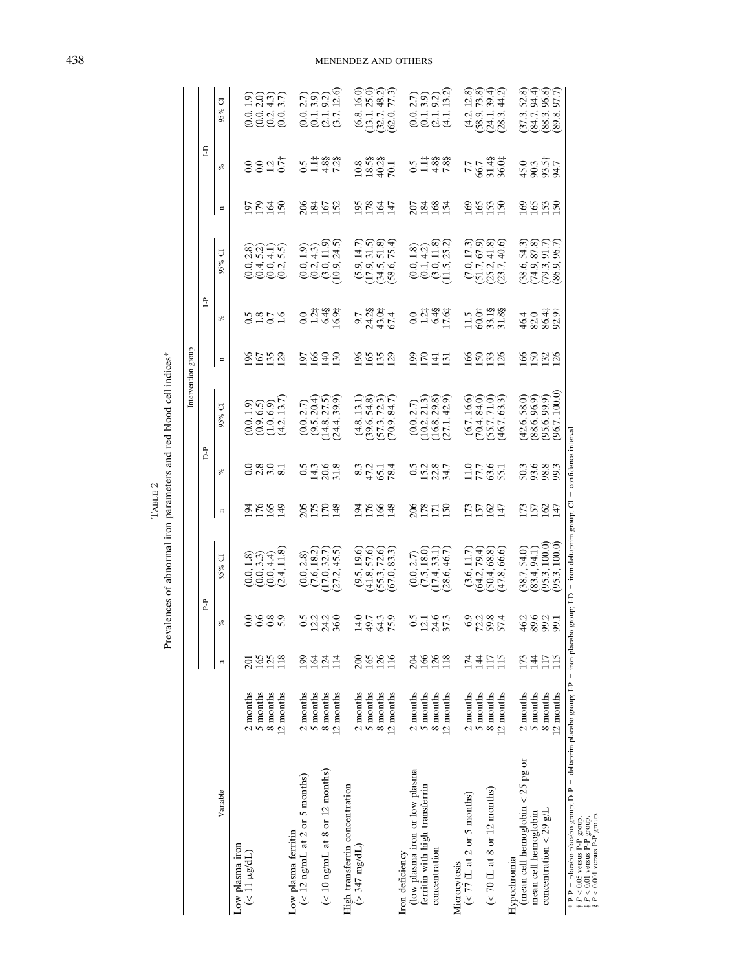|                                                                                  |                                   |                         |                 |                                                                                      |                |                                   |                                                                       | Intervention group |                                                                            |                                                           |                |                                                      |                                                                         |
|----------------------------------------------------------------------------------|-----------------------------------|-------------------------|-----------------|--------------------------------------------------------------------------------------|----------------|-----------------------------------|-----------------------------------------------------------------------|--------------------|----------------------------------------------------------------------------|-----------------------------------------------------------|----------------|------------------------------------------------------|-------------------------------------------------------------------------|
|                                                                                  |                                   |                         | P.P             |                                                                                      |                | Ğ                                 |                                                                       |                    | È                                                                          |                                                           |                | £                                                    |                                                                         |
| Variable                                                                         |                                   | $\blacksquare$          | ಸಿ              | J<br>95%                                                                             | $\blacksquare$ | న్                                | σ<br>95%                                                              | $\blacksquare$     | న్                                                                         | J<br>95%                                                  | $\mathbf{a}$   | న                                                    | ℧<br>95%                                                                |
| Low plasma iron<br>$(11 \mu g/dL)$                                               | 2 months<br>5 months              | 165<br>$\overline{201}$ |                 |                                                                                      |                |                                   |                                                                       |                    |                                                                            |                                                           |                |                                                      |                                                                         |
|                                                                                  | 8 months<br>12 months             | 125                     | 0989<br>0000    | $\begin{array}{c} (0.0, 1.8) \\ (0.0, 3.3) \\ (0.0, 4.4) \\ (2.4, 11.8) \end{array}$ | 3555           | 0 8 0 1<br>0 N 10 8               | 1969<br>699<br>137)                                                   | 86582<br>195       | 3.850                                                                      | बंदन के<br>अंग्रेन फ्रे<br>०.<br>०.५०.५<br>०.५०.५         | 2525           | 0.027                                                | $(0.0, 1.9)$<br>$(0.0, 2.0)$<br>$(0.2, 4.3)$<br>$(0.0, 3.7)$            |
| $(< 12$ ng/mL at 2 or 5 months)<br>Low plasma ferritin                           | 2 months                          | 199                     |                 |                                                                                      |                |                                   |                                                                       |                    |                                                                            |                                                           |                |                                                      |                                                                         |
| $(< 10$ ng/mL at 8 or 12 months)                                                 | 5 months<br>12 months<br>8 months | 164<br>124<br>114       | saa<br>0233     | 45.5<br>$(0.0, 2.8)$<br>$(7.6, 18.2)$<br>$(17.0, 32.7)$<br>(27.2,                    | 2523<br>2523   | $0.5$<br>$0.38$<br>$0.8$<br>$0.8$ | 20409<br>20409<br>20409<br>(24.4,                                     | 5 G Q O<br>1 G Q O | $0.0$<br>$1.24$<br>$0.94$<br>$0.94$                                        | $\begin{array}{c} 9.9 \\ 1.9 \\ 1.9 \\ 1.9 \end{array}$   | 8452           | $0.5$<br>$1.14$<br>7.28<br>7.28                      | (12.6)<br>$(0.0, 2.7)$<br>$(0.1, 3.9)$<br>$(2.1, 9.2)$<br>$(3.7, 12.6)$ |
| High transferrin concentration<br>$($ 347 mg/dL)                                 | 2 months<br>5 months              | 165<br>$\approx$        |                 | (9.5, 19.6)                                                                          |                |                                   |                                                                       |                    |                                                                            | (14.7)                                                    |                |                                                      | (6.8, 16.0)<br>(13.1, 25.0)                                             |
|                                                                                  | 8 months<br>12 months             | 126<br>116              | 1926<br>1926    | 57.6)<br>72.3)<br>83.3)<br>(41.8, 3, 5)<br>(67.0,                                    | 3593           | 832<br>851<br>878                 | $(4.8, 13.1)$<br>$(39.6, 54.8)$<br>$(57.3, 72.3)$<br>$(70.9, 84.7)$   | 8888               | ०.२<br>०.२१.०.५<br>०.२१.०.५                                                | ล.ราช<br>ส.ส. <del>ว</del><br>69.<br>69.9.9.9<br>69.9.9.9 | 5247           | $\begin{array}{c} 10.8 \\ 18.58 \\ 40.1 \end{array}$ | $(32.7, 48.2)$<br>$(62.0, 77.3)$<br>(32.7,                              |
| (low plasma iron or low plasma<br>Iron deficiency                                | 2 months                          | 204                     |                 | 2.7)                                                                                 |                |                                   |                                                                       |                    |                                                                            |                                                           |                |                                                      | (0.0, 2.7)                                                              |
| ferritin with high transferrin<br>concentration                                  | 5 months<br>8 months<br>12 months | 166<br>126<br>118       | $3145$<br>$375$ | 18.0)<br>(33.1)<br>(28.6, 46.7)                                                      | 88158          | 05287<br>05287                    | ್ಷ<br>ಸ್ಪಾತ್ರ<br>ನಂತೆ                                                 | 2577               | $0.748$<br>$0.748$<br>$0.748$                                              | $\begin{array}{c} 1.8 \\ 4.2 \\ 1.8 \\ 25.2 \end{array}$  | $234$<br>$248$ | $0.14888$<br>0.14.88                                 | 13.2<br>$(0.1, 3.9)$<br>$(2.1, 9.2)$<br>(4.1,                           |
| $(< 77$ fL at 2 or 5 months)<br>Microcytosis                                     | 2 months<br>5 months              | 174<br>$\frac{14}{1}$   |                 | 79.4)<br>11.7<br>(3.6,                                                               |                |                                   |                                                                       |                    |                                                                            | 67.9)<br>17.3<br>(7.0,<br>(51.7,<br>(25.2,                |                |                                                      | (4.2, 12.8)<br>(58.9, 73.8)                                             |
| (< 70 fL at 8 or 12 months)                                                      | 8 months<br>12 months             | 115<br>117              | 02387<br>02387  | 66.6)<br>68.8)<br>(64.2, 7.5)<br>(47.8,                                              | 5597           | 1173<br>1785<br>1881              | $(6.7, 16.6)$<br>$(70.4, 84.0)$<br>$(55.7, 71.0)$<br>$(46.7, 63.3)$   | 9533               | $\begin{smallmatrix} 1.5 \\ 6.0 \\ 8.3 \\ 3.8 \\ 4.8 \\ \end{smallmatrix}$ | 41.8<br>40.6)<br>(23.7,                                   |                | 7.7<br>56.7<br>36.03                                 | $(24.1, 39.4)$<br>$(28.3, 44.2)$                                        |
| (mean cell hemoglobin $<$ 25 pg or<br>Hypochromia                                | 2 months                          | 173                     |                 | (38.7, 54.0)                                                                         |                |                                   |                                                                       |                    |                                                                            | 54.3)                                                     |                |                                                      | 52.8)<br>(37.3,                                                         |
| concentration < 29 g/L<br>mean cell hemoglobin                                   | 5 months<br>8 months              | 117<br>$\frac{44}{3}$   | 42825<br>42825  | 100.0<br>$(83.4, 94.1)$<br>$(95.3, 100.0)$                                           | 5587           | 505833<br>5088                    | $(42.6, 58.0)$<br>$(88.6, 96.9)$<br>$(95.6, 99.9)$<br>$(96.7, 100.0)$ | <u>ទេន្</u> នី ដូ  | 4 ८ ५ ५ ५<br>4 ८ ४ ५ ५                                                     | 87.8)<br>96.7)<br>96.7)<br>6.6.<br>0.4.9.<br>0.2.9.       |                | 48347<br>4834                                        | $(84.7, 94.4)$<br>$(88.3, 96.8)$<br>$(89.8, 97.7)$                      |
|                                                                                  | 12 months                         | 115                     |                 | 100.0<br>95.3,                                                                       |                |                                   | 100.0                                                                 |                    |                                                                            | 86.9                                                      |                |                                                      |                                                                         |
| * P-P = placebo-placebo group; D-P = deltaprim-placebo group; I-P = iron-placebo |                                   |                         | group; I-D      | $=$ iron-deltaprim group; $CI$                                                       | $\parallel$    | confidence interval               |                                                                       |                    |                                                                            |                                                           |                |                                                      |                                                                         |

 $\label{eq:rank2} \text{Take } 2$  <br> Prevalences of abnormal iron parameters and red blood cell indices<br>  $\!$ Prevalences of abnormal iron parameters and red blood cell indices\*

# 438 MENENDEZ AND OTHERS

 *P* < 0.05 versus P-P group. *P* < 0.01 versus P-P group.

 $P \leq 0.001$  versus P-P group.

†‡§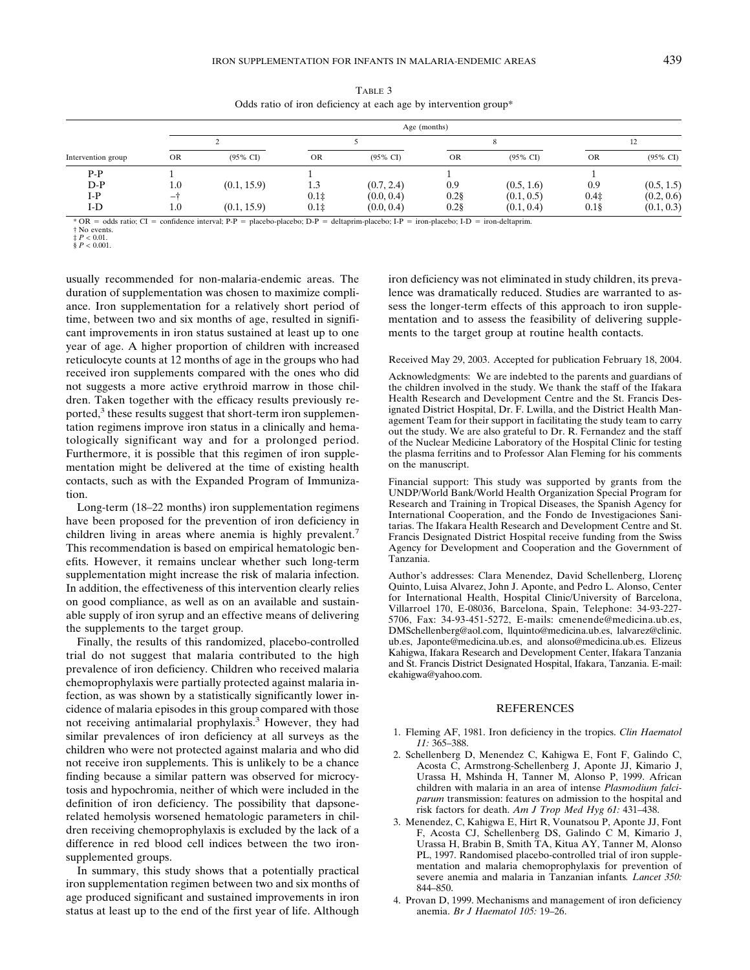|             |           | Odds ratio of iron deficiency at each age by intervention group* |           |                     |           |                     |     |                     |  |  |
|-------------|-----------|------------------------------------------------------------------|-----------|---------------------|-----------|---------------------|-----|---------------------|--|--|
|             |           | Age (months)                                                     |           |                     |           |                     |     |                     |  |  |
|             |           |                                                                  |           |                     |           |                     |     | 12                  |  |  |
| ntion group | <b>OR</b> | $(95\% \text{ CI})$                                              | <b>OR</b> | $(95\% \text{ CI})$ | <b>OR</b> | $(95\% \text{ CI})$ | OR  | $(95\% \text{ CI})$ |  |  |
| P-P         |           |                                                                  |           |                     |           |                     |     |                     |  |  |
| D-P         | 1.0       | (0.1, 15.9)                                                      |           | (0.7, 2.4)          | 0.9       | (0.5, 1.6)          | 0.9 | (0.5, 1.5)          |  |  |

 $I-P$  –† 0.1‡ (0.0, 0.4) 0.2§ (0.1, 0.5) 0.4‡ (0.2, 0.6) I-D 1.0  $(0.1, 15.9)$   $0.1\ddagger$   $(0.0, 0.4)$   $0.2\ddagger$   $(0.1, 0.4)$   $0.1\ddagger$   $(0.1, 0.3)$ 

TABLE 3

\* OR odds ratio; CI confidence interval; P-P placebo-placebo; D-P deltaprim-placebo; I-P iron-placebo; I-D iron-deltaprim.

† No events. ‡ *P* < 0.01.

 $\frac{1}{2}P < 0.001$ .

Intervention g

usually recommended for non-malaria-endemic areas. The duration of supplementation was chosen to maximize compliance. Iron supplementation for a relatively short period of time, between two and six months of age, resulted in significant improvements in iron status sustained at least up to one year of age. A higher proportion of children with increased reticulocyte counts at 12 months of age in the groups who had received iron supplements compared with the ones who did not suggests a more active erythroid marrow in those children. Taken together with the efficacy results previously reported, $3$  these results suggest that short-term iron supplementation regimens improve iron status in a clinically and hematologically significant way and for a prolonged period. Furthermore, it is possible that this regimen of iron supplementation might be delivered at the time of existing health contacts, such as with the Expanded Program of Immunization.

Long-term (18–22 months) iron supplementation regimens have been proposed for the prevention of iron deficiency in children living in areas where anemia is highly prevalent.<sup>7</sup> This recommendation is based on empirical hematologic benefits. However, it remains unclear whether such long-term supplementation might increase the risk of malaria infection. In addition, the effectiveness of this intervention clearly relies on good compliance, as well as on an available and sustainable supply of iron syrup and an effective means of delivering the supplements to the target group.

Finally, the results of this randomized, placebo-controlled trial do not suggest that malaria contributed to the high prevalence of iron deficiency. Children who received malaria chemoprophylaxis were partially protected against malaria infection, as was shown by a statistically significantly lower incidence of malaria episodes in this group compared with those not receiving antimalarial prophylaxis.3 However, they had similar prevalences of iron deficiency at all surveys as the children who were not protected against malaria and who did not receive iron supplements. This is unlikely to be a chance finding because a similar pattern was observed for microcytosis and hypochromia, neither of which were included in the definition of iron deficiency. The possibility that dapsonerelated hemolysis worsened hematologic parameters in children receiving chemoprophylaxis is excluded by the lack of a difference in red blood cell indices between the two ironsupplemented groups.

In summary, this study shows that a potentially practical iron supplementation regimen between two and six months of age produced significant and sustained improvements in iron status at least up to the end of the first year of life. Although

iron deficiency was not eliminated in study children, its prevalence was dramatically reduced. Studies are warranted to assess the longer-term effects of this approach to iron supplementation and to assess the feasibility of delivering supplements to the target group at routine health contacts.

Received May 29, 2003. Accepted for publication February 18, 2004.

Acknowledgments: We are indebted to the parents and guardians of the children involved in the study. We thank the staff of the Ifakara Health Research and Development Centre and the St. Francis Designated District Hospital, Dr. F. Lwilla, and the District Health Management Team for their support in facilitating the study team to carry out the study. We are also grateful to Dr. R. Fernandez and the staff of the Nuclear Medicine Laboratory of the Hospital Clinic for testing the plasma ferritins and to Professor Alan Fleming for his comments on the manuscript.

Financial support: This study was supported by grants from the UNDP/World Bank/World Health Organization Special Program for Research and Training in Tropical Diseases, the Spanish Agency for International Cooperation, and the Fondo de Investigaciones Sanitarias. The Ifakara Health Research and Development Centre and St. Francis Designated District Hospital receive funding from the Swiss Agency for Development and Cooperation and the Government of Tanzania.

Author's addresses: Clara Menendez, David Schellenberg, Llorenç Quinto, Luisa Alvarez, John J. Aponte, and Pedro L. Alonso, Center for International Health, Hospital Clinic/University of Barcelona, Villarroel 170, E-08036, Barcelona, Spain, Telephone: 34-93-227- 5706, Fax: 34-93-451-5272, E-mails: cmenende@medicina.ub.es, DMSchellenberg@aol.com, llquinto@medicina.ub.es, lalvarez@clinic. ub.es, Japonte@medicina.ub.es, and alonso@medicina.ub.es. Elizeus Kahigwa, Ifakara Research and Development Center, Ifakara Tanzania and St. Francis District Designated Hospital, Ifakara, Tanzania. E-mail: ekahigwa@yahoo.com.

#### **REFERENCES**

- 1. Fleming AF, 1981. Iron deficiency in the tropics. *Clin Haematol 11:* 365–388.
- 2. Schellenberg D, Menendez C, Kahigwa E, Font F, Galindo C, Acosta C, Armstrong-Schellenberg J, Aponte JJ, Kimario J, Urassa H, Mshinda H, Tanner M, Alonso P, 1999. African children with malaria in an area of intense *Plasmodium falciparum* transmission: features on admission to the hospital and risk factors for death. *Am J Trop Med Hyg 61:* 431–438.
- 3. Menendez, C, Kahigwa E, Hirt R, Vounatsou P, Aponte JJ, Font F, Acosta CJ, Schellenberg DS, Galindo C M, Kimario J, Urassa H, Brabin B, Smith TA, Kitua AY, Tanner M, Alonso PL, 1997. Randomised placebo-controlled trial of iron supplementation and malaria chemoprophylaxis for prevention of severe anemia and malaria in Tanzanian infants*. Lancet 350:* 844–850.
- 4. Provan D, 1999. Mechanisms and management of iron deficiency anemia. *Br J Haematol 105:* 19–26.